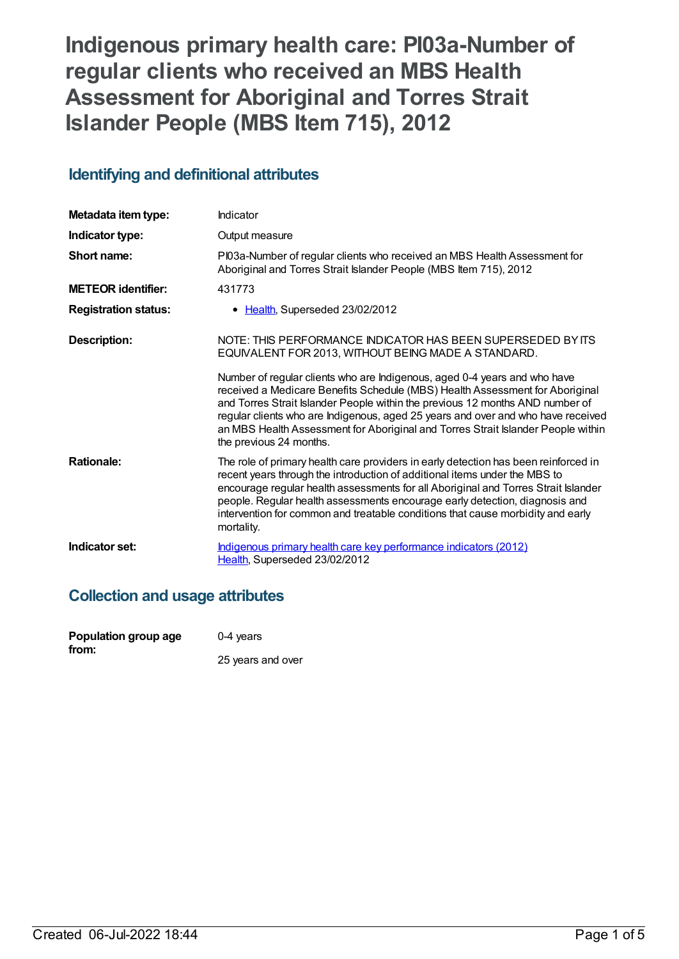# **Indigenous primary health care: PI03a-Number of regular clients who received an MBS Health Assessment for Aboriginal and Torres Strait Islander People (MBS Item 715), 2012**

## **Identifying and definitional attributes**

| Metadata item type:         | Indicator                                                                                                                                                                                                                                                                                                                                                                                                                                     |
|-----------------------------|-----------------------------------------------------------------------------------------------------------------------------------------------------------------------------------------------------------------------------------------------------------------------------------------------------------------------------------------------------------------------------------------------------------------------------------------------|
| Indicator type:             | Output measure                                                                                                                                                                                                                                                                                                                                                                                                                                |
| Short name:                 | PI03a-Number of regular clients who received an MBS Health Assessment for<br>Aboriginal and Torres Strait Islander People (MBS Item 715), 2012                                                                                                                                                                                                                                                                                                |
| <b>METEOR identifier:</b>   | 431773                                                                                                                                                                                                                                                                                                                                                                                                                                        |
| <b>Registration status:</b> | • Health, Superseded 23/02/2012                                                                                                                                                                                                                                                                                                                                                                                                               |
| <b>Description:</b>         | NOTE: THIS PERFORMANCE INDICATOR HAS BEEN SUPERSEDED BY ITS<br>EQUIVALENT FOR 2013, WITHOUT BEING MADE A STANDARD.                                                                                                                                                                                                                                                                                                                            |
|                             | Number of regular clients who are Indigenous, aged 0-4 years and who have<br>received a Medicare Benefits Schedule (MBS) Health Assessment for Aboriginal<br>and Torres Strait Islander People within the previous 12 months AND number of<br>regular clients who are Indigenous, aged 25 years and over and who have received<br>an MBS Health Assessment for Aboriginal and Torres Strait Islander People within<br>the previous 24 months. |
| <b>Rationale:</b>           | The role of primary health care providers in early detection has been reinforced in<br>recent years through the introduction of additional items under the MBS to<br>encourage regular health assessments for all Aboriginal and Torres Strait Islander<br>people. Regular health assessments encourage early detection, diagnosis and<br>intervention for common and treatable conditions that cause morbidity and early<br>mortality.       |
| Indicator set:              | Indigenous primary health care key performance indicators (2012)<br>Health, Superseded 23/02/2012                                                                                                                                                                                                                                                                                                                                             |

## **Collection and usage attributes**

| Population group age | $0-4$ years       |
|----------------------|-------------------|
| from:                |                   |
|                      | 25 years and over |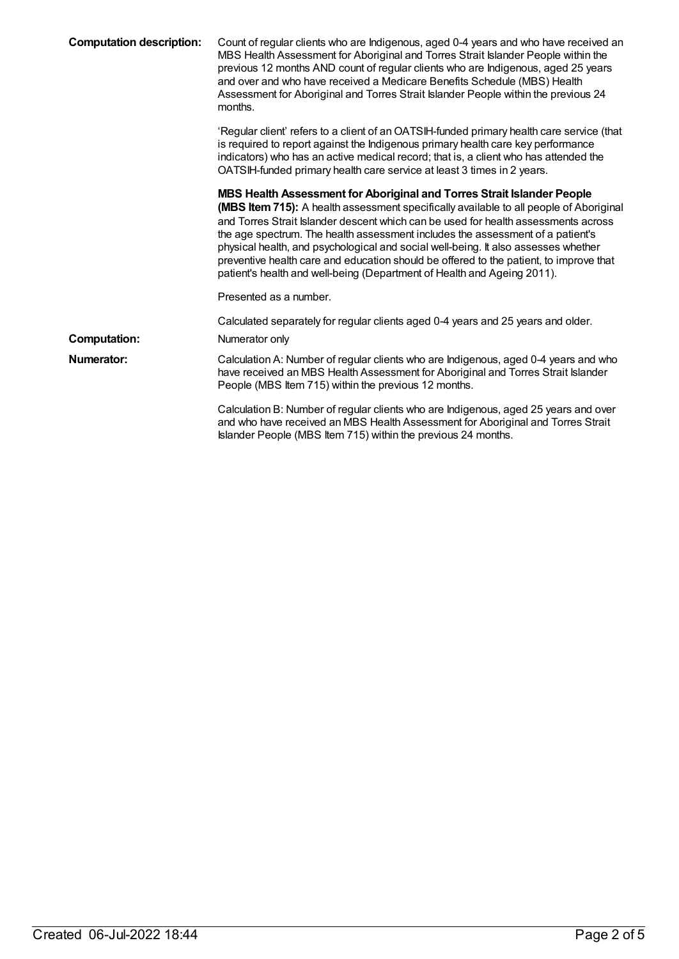| <b>Computation description:</b> | Count of regular clients who are Indigenous, aged 0-4 years and who have received an<br>MBS Health Assessment for Aboriginal and Torres Strait Islander People within the<br>previous 12 months AND count of regular clients who are Indigenous, aged 25 years<br>and over and who have received a Medicare Benefits Schedule (MBS) Health<br>Assessment for Aboriginal and Torres Strait Islander People within the previous 24<br>months.                                                                                                                                                                |
|---------------------------------|------------------------------------------------------------------------------------------------------------------------------------------------------------------------------------------------------------------------------------------------------------------------------------------------------------------------------------------------------------------------------------------------------------------------------------------------------------------------------------------------------------------------------------------------------------------------------------------------------------|
|                                 | 'Regular client' refers to a client of an OATSIH-funded primary health care service (that<br>is required to report against the Indigenous primary health care key performance<br>indicators) who has an active medical record; that is, a client who has attended the<br>OATSIH-funded primary health care service at least 3 times in 2 years.                                                                                                                                                                                                                                                            |
|                                 | MBS Health Assessment for Aboriginal and Torres Strait Islander People<br><b>(MBS Item 715):</b> A health assessment specifically available to all people of Aboriginal<br>and Torres Strait Islander descent which can be used for health assessments across<br>the age spectrum. The health assessment includes the assessment of a patient's<br>physical health, and psychological and social well-being. It also assesses whether<br>preventive health care and education should be offered to the patient, to improve that<br>patient's health and well-being (Department of Health and Ageing 2011). |
|                                 | Presented as a number.                                                                                                                                                                                                                                                                                                                                                                                                                                                                                                                                                                                     |
|                                 | Calculated separately for regular clients aged 0-4 years and 25 years and older.                                                                                                                                                                                                                                                                                                                                                                                                                                                                                                                           |
| <b>Computation:</b>             | Numerator only                                                                                                                                                                                                                                                                                                                                                                                                                                                                                                                                                                                             |
| Numerator:                      | Calculation A: Number of regular clients who are Indigenous, aged 0-4 years and who<br>have received an MBS Health Assessment for Aboriginal and Torres Strait Islander<br>People (MBS Item 715) within the previous 12 months.                                                                                                                                                                                                                                                                                                                                                                            |
|                                 | Calculation B: Number of regular clients who are Indigenous, aged 25 years and over<br>and who have received an MBS Health Assessment for Aboriginal and Torres Strait<br>Islander People (MBS Item 715) within the previous 24 months.                                                                                                                                                                                                                                                                                                                                                                    |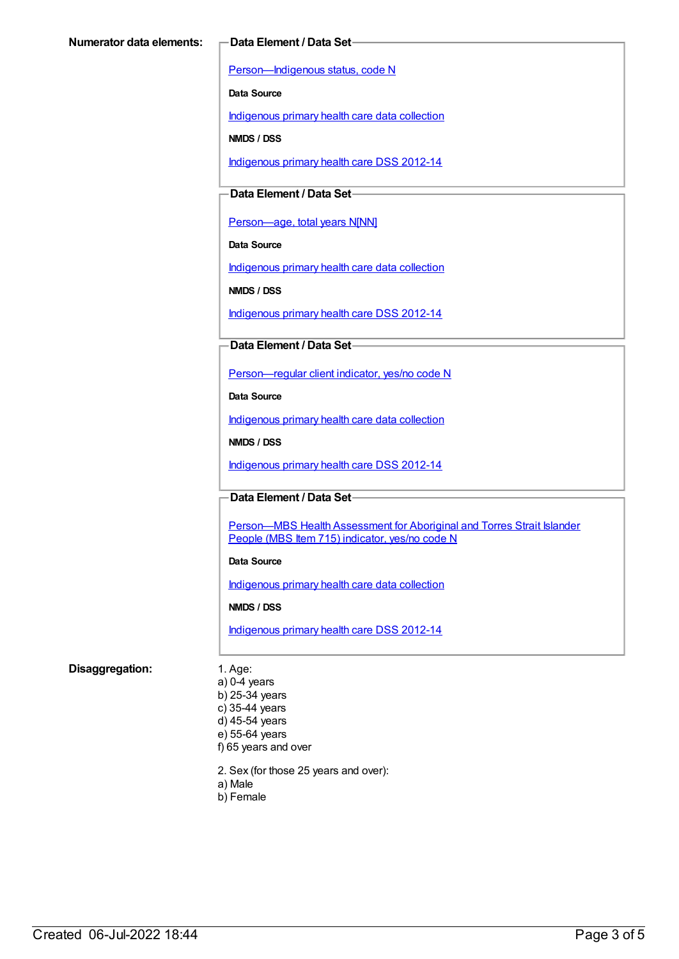[Person—Indigenous](https://meteor.aihw.gov.au/content/291036) status, code N

**Data Source**

[Indigenous](https://meteor.aihw.gov.au/content/430643) primary health care data collection

**NMDS / DSS**

[Indigenous](https://meteor.aihw.gov.au/content/430629) primary health care DSS 2012-14

### **Data Element / Data Set**

[Person—age,](https://meteor.aihw.gov.au/content/303794) total years N[NN]

**Data Source**

[Indigenous](https://meteor.aihw.gov.au/content/430643) primary health care data collection

**NMDS / DSS**

[Indigenous](https://meteor.aihw.gov.au/content/430629) primary health care DSS 2012-14

#### **Data Element / Data Set**

[Person—regular](https://meteor.aihw.gov.au/content/436639) client indicator, yes/no code N

**Data Source**

[Indigenous](https://meteor.aihw.gov.au/content/430643) primary health care data collection

**NMDS / DSS**

[Indigenous](https://meteor.aihw.gov.au/content/430629) primary health care DSS 2012-14

**Data Element / Data Set**

Person-MBS Health Assessment for Aboriginal and Torres Strait Islander People (MBS Item 715) indicator, yes/no code N

#### **Data Source**

[Indigenous](https://meteor.aihw.gov.au/content/430643) primary health care data collection

**NMDS / DSS**

[Indigenous](https://meteor.aihw.gov.au/content/430629) primary health care DSS 2012-14

#### **Disaggregation:** 1. Age:

a) 0-4 years b) 25-34 years c) 35-44 years d) 45-54 years e) 55-64 years f) 65 years and over

2. Sex (for those 25 years and over):

- a) Male
- b) Female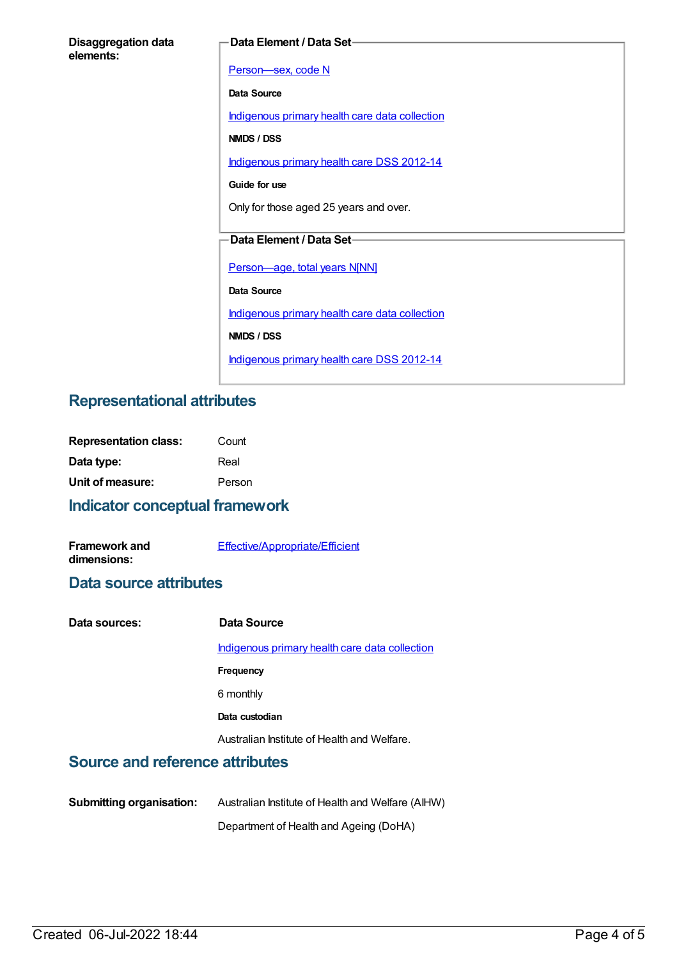| <b>Disaggregation data</b> |  |
|----------------------------|--|
| elements:                  |  |

#### **Data Element / Data Set**

[Person—sex,](https://meteor.aihw.gov.au/content/287316) code N **Data Source** [Indigenous](https://meteor.aihw.gov.au/content/430643) primary health care data collection **NMDS / DSS** [Indigenous](https://meteor.aihw.gov.au/content/430629) primary health care DSS 2012-14 **Guide for use** Only for those aged 25 years and over. **Data Element / Data Set** [Person—age,](https://meteor.aihw.gov.au/content/303794) total years N[NN] **Data Source** [Indigenous](https://meteor.aihw.gov.au/content/430643) primary health care data collection **NMDS / DSS** [Indigenous](https://meteor.aihw.gov.au/content/430629) primary health care DSS 2012-14

## **Representational attributes**

| <b>Representation class:</b> | Count  |
|------------------------------|--------|
| Data type:                   | Real   |
| Unit of measure:             | Person |

## **Indicator conceptual framework**

| <b>Framework and</b> | Effective/Appropriate/Efficient |
|----------------------|---------------------------------|
| dimensions:          |                                 |

#### **Data source attributes**

| Data sources: | Data Source                                    |
|---------------|------------------------------------------------|
|               | Indigenous primary health care data collection |
|               | Frequency                                      |
|               | 6 monthly                                      |
|               | Data custodian                                 |
|               | Australian Institute of Health and Welfare.    |
|               |                                                |

## **Source and reference attributes**

| <b>Submitting organisation:</b> | Australian Institute of Health and Welfare (AIHW) |
|---------------------------------|---------------------------------------------------|
|                                 | Department of Health and Ageing (DoHA)            |